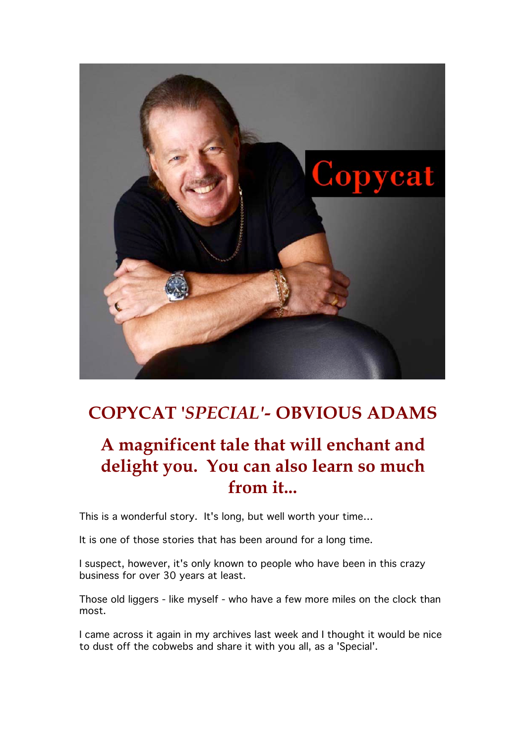

## **COPYCAT '***SPECIAL'-* **OBVIOUS ADAMS**

## **A magnificent tale that will enchant and delight you. You can also learn so much from it...**

This is a wonderful story. It's long, but well worth your time…

It is one of those stories that has been around for a long time.

I suspect, however, it's only known to people who have been in this crazy business for over 30 years at least.

Those old liggers - like myself - who have a few more miles on the clock than most.

I came across it again in my archives last week and I thought it would be nice to dust off the cobwebs and share it with you all, as a 'Special'.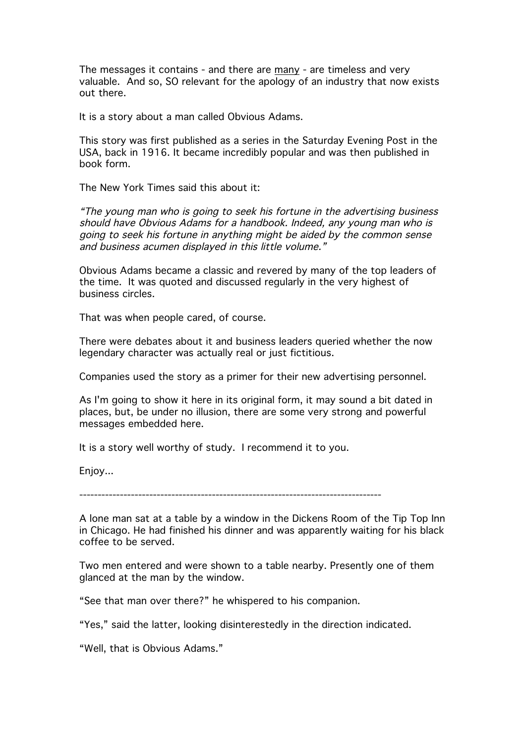The messages it contains - and there are many - are timeless and very valuable. And so, SO relevant for the apology of an industry that now exists out there.

It is a story about a man called Obvious Adams.

This story was first published as a series in the Saturday Evening Post in the USA, back in 1916. It became incredibly popular and was then published in book form.

The New York Times said this about it:

"The young man who is going to seek his fortune in the advertising business should have Obvious Adams for a handbook. Indeed, any young man who is going to seek his fortune in anything might be aided by the common sense and business acumen displayed in this little volume."

Obvious Adams became a classic and revered by many of the top leaders of the time. It was quoted and discussed regularly in the very highest of business circles.

That was when people cared, of course.

There were debates about it and business leaders queried whether the now legendary character was actually real or just fictitious.

Companies used the story as a primer for their new advertising personnel.

As I'm going to show it here in its original form, it may sound a bit dated in places, but, be under no illusion, there are some very strong and powerful messages embedded here.

It is a story well worthy of study. I recommend it to you.

Enjoy...

----------------------------------------------------------------------------------

A lone man sat at a table by a window in the Dickens Room of the Tip Top Inn in Chicago. He had finished his dinner and was apparently waiting for his black coffee to be served.

Two men entered and were shown to a table nearby. Presently one of them glanced at the man by the window.

"See that man over there?" he whispered to his companion.

"Yes," said the latter, looking disinterestedly in the direction indicated.

"Well, that is Obvious Adams."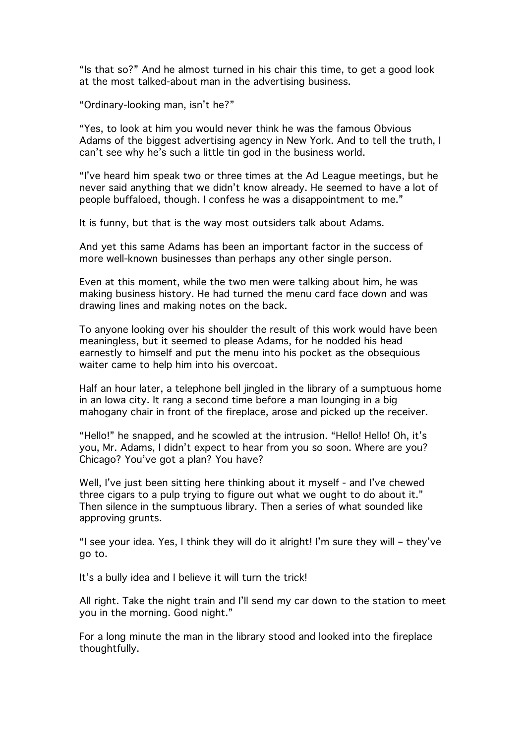"Is that so?" And he almost turned in his chair this time, to get a good look at the most talked-about man in the advertising business.

"Ordinary-looking man, isn't he?"

"Yes, to look at him you would never think he was the famous Obvious Adams of the biggest advertising agency in New York. And to tell the truth, I can't see why he's such a little tin god in the business world.

"I've heard him speak two or three times at the Ad League meetings, but he never said anything that we didn't know already. He seemed to have a lot of people buffaloed, though. I confess he was a disappointment to me."

It is funny, but that is the way most outsiders talk about Adams.

And yet this same Adams has been an important factor in the success of more well-known businesses than perhaps any other single person.

Even at this moment, while the two men were talking about him, he was making business history. He had turned the menu card face down and was drawing lines and making notes on the back.

To anyone looking over his shoulder the result of this work would have been meaningless, but it seemed to please Adams, for he nodded his head earnestly to himself and put the menu into his pocket as the obsequious waiter came to help him into his overcoat.

Half an hour later, a telephone bell jingled in the library of a sumptuous home in an Iowa city. It rang a second time before a man lounging in a big mahogany chair in front of the fireplace, arose and picked up the receiver.

"Hello!" he snapped, and he scowled at the intrusion. "Hello! Hello! Oh, it's you, Mr. Adams, I didn't expect to hear from you so soon. Where are you? Chicago? You've got a plan? You have?

Well, I've just been sitting here thinking about it myself - and I've chewed three cigars to a pulp trying to figure out what we ought to do about it." Then silence in the sumptuous library. Then a series of what sounded like approving grunts.

"I see your idea. Yes, I think they will do it alright! I'm sure they will – they've go to.

It's a bully idea and I believe it will turn the trick!

All right. Take the night train and I'll send my car down to the station to meet you in the morning. Good night."

For a long minute the man in the library stood and looked into the fireplace thoughtfully.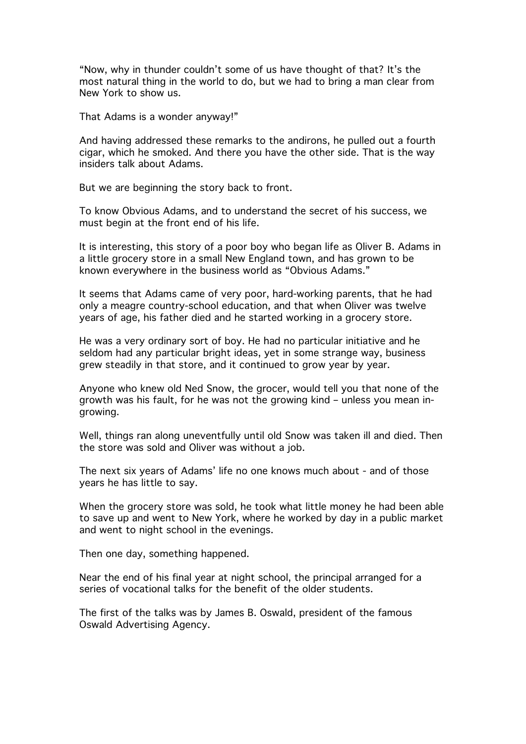"Now, why in thunder couldn't some of us have thought of that? It's the most natural thing in the world to do, but we had to bring a man clear from New York to show us.

That Adams is a wonder anyway!"

And having addressed these remarks to the andirons, he pulled out a fourth cigar, which he smoked. And there you have the other side. That is the way insiders talk about Adams.

But we are beginning the story back to front.

To know Obvious Adams, and to understand the secret of his success, we must begin at the front end of his life.

It is interesting, this story of a poor boy who began life as Oliver B. Adams in a little grocery store in a small New England town, and has grown to be known everywhere in the business world as "Obvious Adams."

It seems that Adams came of very poor, hard-working parents, that he had only a meagre country-school education, and that when Oliver was twelve years of age, his father died and he started working in a grocery store.

He was a very ordinary sort of boy. He had no particular initiative and he seldom had any particular bright ideas, yet in some strange way, business grew steadily in that store, and it continued to grow year by year.

Anyone who knew old Ned Snow, the grocer, would tell you that none of the growth was his fault, for he was not the growing kind – unless you mean ingrowing.

Well, things ran along uneventfully until old Snow was taken ill and died. Then the store was sold and Oliver was without a job.

The next six years of Adams' life no one knows much about - and of those years he has little to say.

When the grocery store was sold, he took what little money he had been able to save up and went to New York, where he worked by day in a public market and went to night school in the evenings.

Then one day, something happened.

Near the end of his final year at night school, the principal arranged for a series of vocational talks for the benefit of the older students.

The first of the talks was by James B. Oswald, president of the famous Oswald Advertising Agency.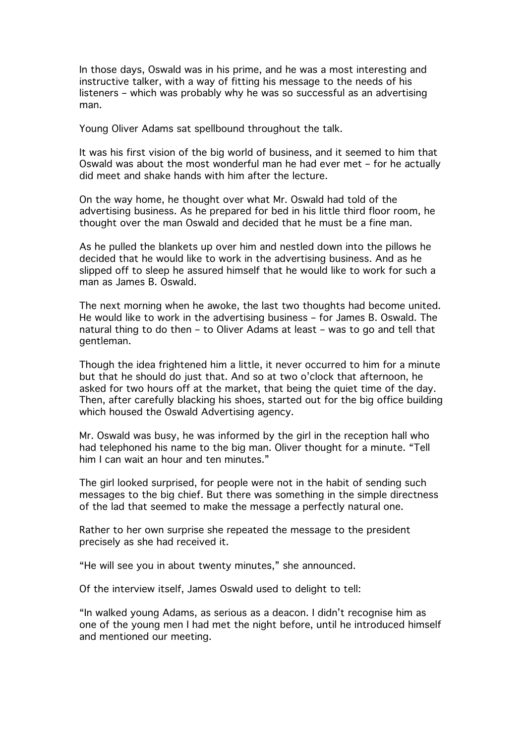In those days, Oswald was in his prime, and he was a most interesting and instructive talker, with a way of fitting his message to the needs of his listeners – which was probably why he was so successful as an advertising man.

Young Oliver Adams sat spellbound throughout the talk.

It was his first vision of the big world of business, and it seemed to him that Oswald was about the most wonderful man he had ever met – for he actually did meet and shake hands with him after the lecture.

On the way home, he thought over what Mr. Oswald had told of the advertising business. As he prepared for bed in his little third floor room, he thought over the man Oswald and decided that he must be a fine man.

As he pulled the blankets up over him and nestled down into the pillows he decided that he would like to work in the advertising business. And as he slipped off to sleep he assured himself that he would like to work for such a man as James B. Oswald.

The next morning when he awoke, the last two thoughts had become united. He would like to work in the advertising business – for James B. Oswald. The natural thing to do then – to Oliver Adams at least – was to go and tell that gentleman.

Though the idea frightened him a little, it never occurred to him for a minute but that he should do just that. And so at two o'clock that afternoon, he asked for two hours off at the market, that being the quiet time of the day. Then, after carefully blacking his shoes, started out for the big office building which housed the Oswald Advertising agency.

Mr. Oswald was busy, he was informed by the girl in the reception hall who had telephoned his name to the big man. Oliver thought for a minute. "Tell him I can wait an hour and ten minutes."

The girl looked surprised, for people were not in the habit of sending such messages to the big chief. But there was something in the simple directness of the lad that seemed to make the message a perfectly natural one.

Rather to her own surprise she repeated the message to the president precisely as she had received it.

"He will see you in about twenty minutes," she announced.

Of the interview itself, James Oswald used to delight to tell:

"In walked young Adams, as serious as a deacon. I didn't recognise him as one of the young men I had met the night before, until he introduced himself and mentioned our meeting.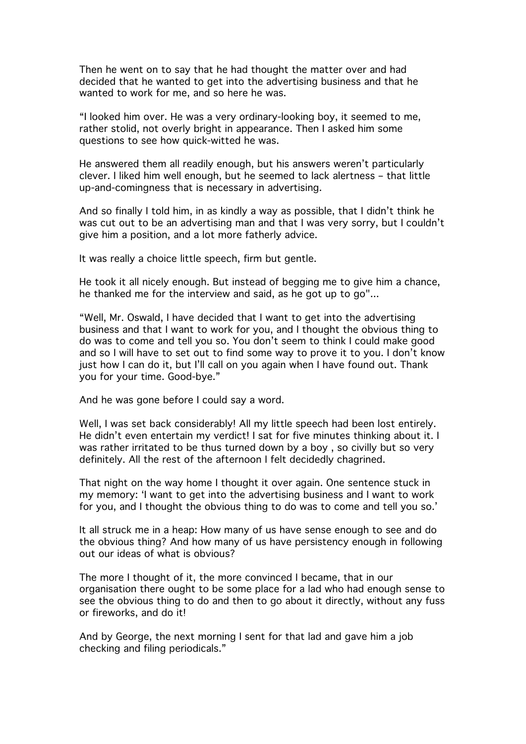Then he went on to say that he had thought the matter over and had decided that he wanted to get into the advertising business and that he wanted to work for me, and so here he was.

"I looked him over. He was a very ordinary-looking boy, it seemed to me, rather stolid, not overly bright in appearance. Then I asked him some questions to see how quick-witted he was.

He answered them all readily enough, but his answers weren't particularly clever. I liked him well enough, but he seemed to lack alertness – that little up-and-comingness that is necessary in advertising.

And so finally I told him, in as kindly a way as possible, that I didn't think he was cut out to be an advertising man and that I was very sorry, but I couldn't give him a position, and a lot more fatherly advice.

It was really a choice little speech, firm but gentle.

He took it all nicely enough. But instead of begging me to give him a chance, he thanked me for the interview and said, as he got up to go"...

"Well, Mr. Oswald, I have decided that I want to get into the advertising business and that I want to work for you, and I thought the obvious thing to do was to come and tell you so. You don't seem to think I could make good and so I will have to set out to find some way to prove it to you. I don't know just how I can do it, but I'll call on you again when I have found out. Thank you for your time. Good-bye."

And he was gone before I could say a word.

Well, I was set back considerably! All my little speech had been lost entirely. He didn't even entertain my verdict! I sat for five minutes thinking about it. I was rather irritated to be thus turned down by a boy , so civilly but so very definitely. All the rest of the afternoon I felt decidedly chagrined.

That night on the way home I thought it over again. One sentence stuck in my memory: 'I want to get into the advertising business and I want to work for you, and I thought the obvious thing to do was to come and tell you so.'

It all struck me in a heap: How many of us have sense enough to see and do the obvious thing? And how many of us have persistency enough in following out our ideas of what is obvious?

The more I thought of it, the more convinced I became, that in our organisation there ought to be some place for a lad who had enough sense to see the obvious thing to do and then to go about it directly, without any fuss or fireworks, and do it!

And by George, the next morning I sent for that lad and gave him a job checking and filing periodicals."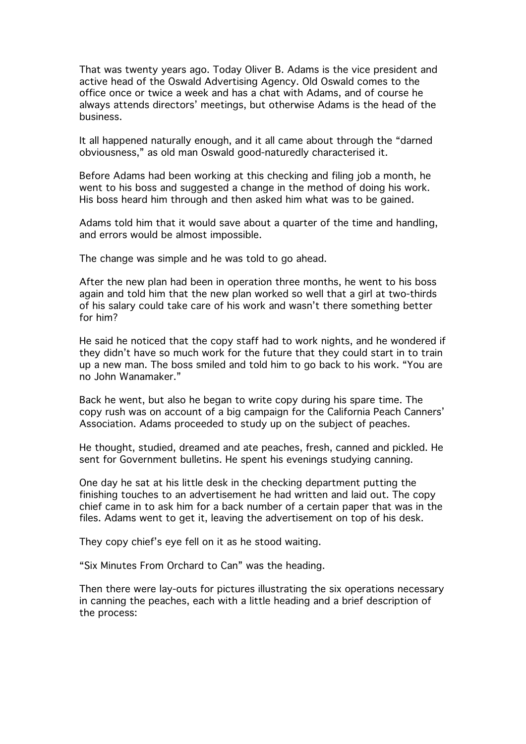That was twenty years ago. Today Oliver B. Adams is the vice president and active head of the Oswald Advertising Agency. Old Oswald comes to the office once or twice a week and has a chat with Adams, and of course he always attends directors' meetings, but otherwise Adams is the head of the business.

It all happened naturally enough, and it all came about through the "darned obviousness," as old man Oswald good-naturedly characterised it.

Before Adams had been working at this checking and filing job a month, he went to his boss and suggested a change in the method of doing his work. His boss heard him through and then asked him what was to be gained.

Adams told him that it would save about a quarter of the time and handling, and errors would be almost impossible.

The change was simple and he was told to go ahead.

After the new plan had been in operation three months, he went to his boss again and told him that the new plan worked so well that a girl at two-thirds of his salary could take care of his work and wasn't there something better for him?

He said he noticed that the copy staff had to work nights, and he wondered if they didn't have so much work for the future that they could start in to train up a new man. The boss smiled and told him to go back to his work. "You are no John Wanamaker."

Back he went, but also he began to write copy during his spare time. The copy rush was on account of a big campaign for the California Peach Canners' Association. Adams proceeded to study up on the subject of peaches.

He thought, studied, dreamed and ate peaches, fresh, canned and pickled. He sent for Government bulletins. He spent his evenings studying canning.

One day he sat at his little desk in the checking department putting the finishing touches to an advertisement he had written and laid out. The copy chief came in to ask him for a back number of a certain paper that was in the files. Adams went to get it, leaving the advertisement on top of his desk.

They copy chief's eye fell on it as he stood waiting.

"Six Minutes From Orchard to Can" was the heading.

Then there were lay-outs for pictures illustrating the six operations necessary in canning the peaches, each with a little heading and a brief description of the process: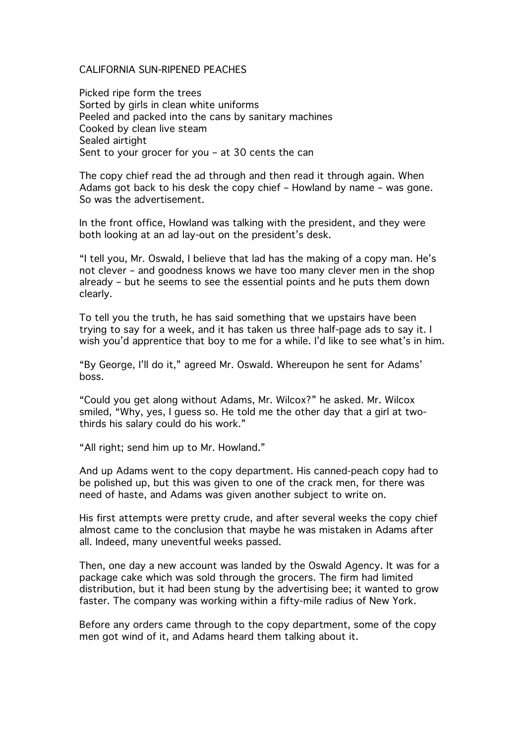## CALIFORNIA SUN-RIPENED PEACHES

Picked ripe form the trees Sorted by girls in clean white uniforms Peeled and packed into the cans by sanitary machines Cooked by clean live steam Sealed airtight Sent to your grocer for you – at 30 cents the can

The copy chief read the ad through and then read it through again. When Adams got back to his desk the copy chief – Howland by name – was gone. So was the advertisement.

In the front office, Howland was talking with the president, and they were both looking at an ad lay-out on the president's desk.

"I tell you, Mr. Oswald, I believe that lad has the making of a copy man. He's not clever – and goodness knows we have too many clever men in the shop already – but he seems to see the essential points and he puts them down clearly.

To tell you the truth, he has said something that we upstairs have been trying to say for a week, and it has taken us three half-page ads to say it. I wish you'd apprentice that boy to me for a while. I'd like to see what's in him.

"By George, I'll do it," agreed Mr. Oswald. Whereupon he sent for Adams' boss.

"Could you get along without Adams, Mr. Wilcox?" he asked. Mr. Wilcox smiled, "Why, yes, I guess so. He told me the other day that a girl at twothirds his salary could do his work."

"All right; send him up to Mr. Howland."

And up Adams went to the copy department. His canned-peach copy had to be polished up, but this was given to one of the crack men, for there was need of haste, and Adams was given another subject to write on.

His first attempts were pretty crude, and after several weeks the copy chief almost came to the conclusion that maybe he was mistaken in Adams after all. Indeed, many uneventful weeks passed.

Then, one day a new account was landed by the Oswald Agency. It was for a package cake which was sold through the grocers. The firm had limited distribution, but it had been stung by the advertising bee; it wanted to grow faster. The company was working within a fifty-mile radius of New York.

Before any orders came through to the copy department, some of the copy men got wind of it, and Adams heard them talking about it.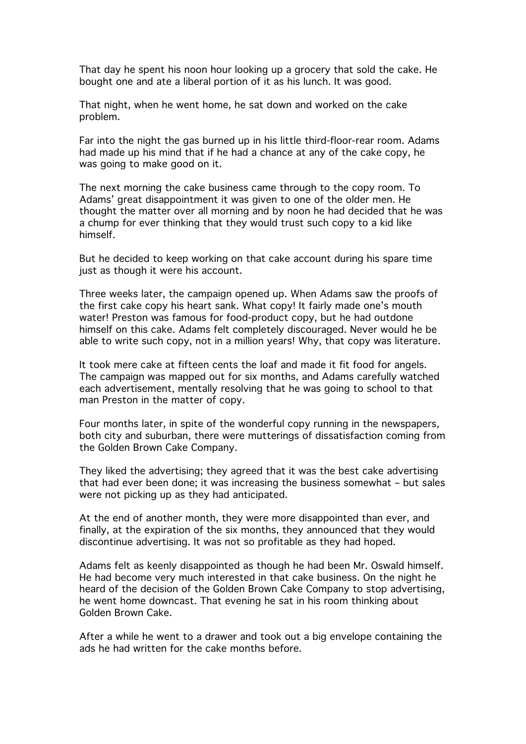That day he spent his noon hour looking up a grocery that sold the cake. He bought one and ate a liberal portion of it as his lunch. It was good.

That night, when he went home, he sat down and worked on the cake problem.

Far into the night the gas burned up in his little third-floor-rear room. Adams had made up his mind that if he had a chance at any of the cake copy, he was going to make good on it.

The next morning the cake business came through to the copy room. To Adams' great disappointment it was given to one of the older men. He thought the matter over all morning and by noon he had decided that he was a chump for ever thinking that they would trust such copy to a kid like himself.

But he decided to keep working on that cake account during his spare time just as though it were his account.

Three weeks later, the campaign opened up. When Adams saw the proofs of the first cake copy his heart sank. What copy! It fairly made one's mouth water! Preston was famous for food-product copy, but he had outdone himself on this cake. Adams felt completely discouraged. Never would he be able to write such copy, not in a million years! Why, that copy was literature.

It took mere cake at fifteen cents the loaf and made it fit food for angels. The campaign was mapped out for six months, and Adams carefully watched each advertisement, mentally resolving that he was going to school to that man Preston in the matter of copy.

Four months later, in spite of the wonderful copy running in the newspapers, both city and suburban, there were mutterings of dissatisfaction coming from the Golden Brown Cake Company.

They liked the advertising; they agreed that it was the best cake advertising that had ever been done; it was increasing the business somewhat – but sales were not picking up as they had anticipated.

At the end of another month, they were more disappointed than ever, and finally, at the expiration of the six months, they announced that they would discontinue advertising. It was not so profitable as they had hoped.

Adams felt as keenly disappointed as though he had been Mr. Oswald himself. He had become very much interested in that cake business. On the night he heard of the decision of the Golden Brown Cake Company to stop advertising, he went home downcast. That evening he sat in his room thinking about Golden Brown Cake.

After a while he went to a drawer and took out a big envelope containing the ads he had written for the cake months before.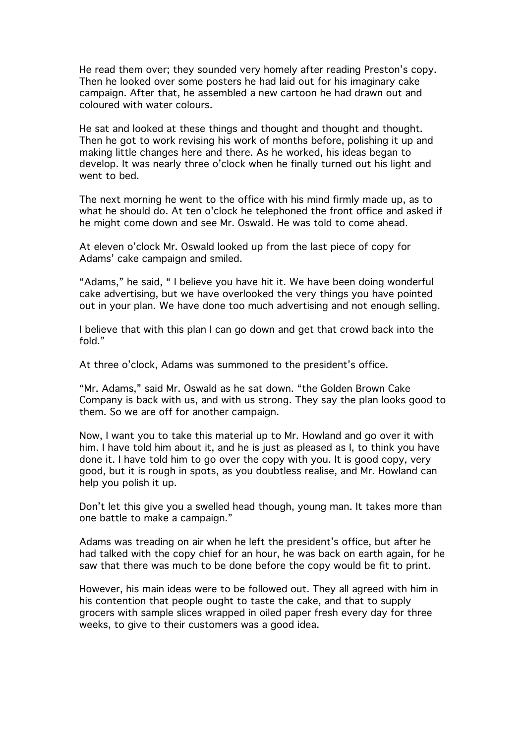He read them over; they sounded very homely after reading Preston's copy. Then he looked over some posters he had laid out for his imaginary cake campaign. After that, he assembled a new cartoon he had drawn out and coloured with water colours.

He sat and looked at these things and thought and thought and thought. Then he got to work revising his work of months before, polishing it up and making little changes here and there. As he worked, his ideas began to develop. It was nearly three o'clock when he finally turned out his light and went to bed.

The next morning he went to the office with his mind firmly made up, as to what he should do. At ten o'clock he telephoned the front office and asked if he might come down and see Mr. Oswald. He was told to come ahead.

At eleven o'clock Mr. Oswald looked up from the last piece of copy for Adams' cake campaign and smiled.

"Adams," he said, " I believe you have hit it. We have been doing wonderful cake advertising, but we have overlooked the very things you have pointed out in your plan. We have done too much advertising and not enough selling.

I believe that with this plan I can go down and get that crowd back into the fold."

At three o'clock, Adams was summoned to the president's office.

"Mr. Adams," said Mr. Oswald as he sat down. "the Golden Brown Cake Company is back with us, and with us strong. They say the plan looks good to them. So we are off for another campaign.

Now, I want you to take this material up to Mr. Howland and go over it with him. I have told him about it, and he is just as pleased as I, to think you have done it. I have told him to go over the copy with you. It is good copy, very good, but it is rough in spots, as you doubtless realise, and Mr. Howland can help you polish it up.

Don't let this give you a swelled head though, young man. It takes more than one battle to make a campaign."

Adams was treading on air when he left the president's office, but after he had talked with the copy chief for an hour, he was back on earth again, for he saw that there was much to be done before the copy would be fit to print.

However, his main ideas were to be followed out. They all agreed with him in his contention that people ought to taste the cake, and that to supply grocers with sample slices wrapped in oiled paper fresh every day for three weeks, to give to their customers was a good idea.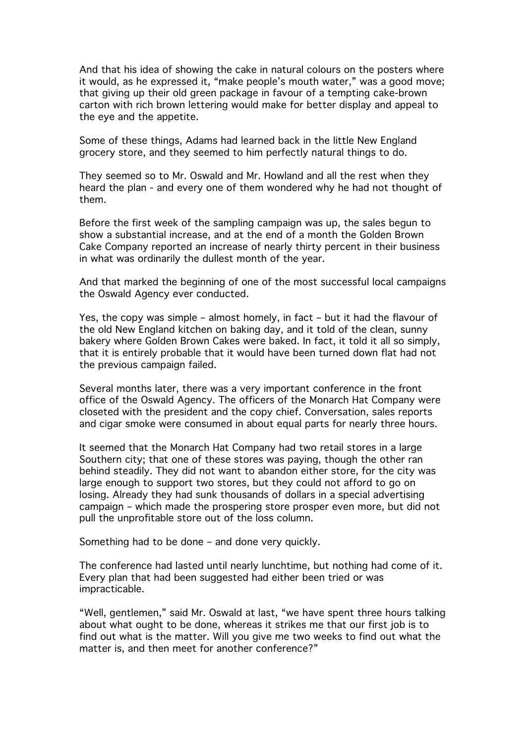And that his idea of showing the cake in natural colours on the posters where it would, as he expressed it, "make people's mouth water," was a good move; that giving up their old green package in favour of a tempting cake-brown carton with rich brown lettering would make for better display and appeal to the eye and the appetite.

Some of these things, Adams had learned back in the little New England grocery store, and they seemed to him perfectly natural things to do.

They seemed so to Mr. Oswald and Mr. Howland and all the rest when they heard the plan - and every one of them wondered why he had not thought of them.

Before the first week of the sampling campaign was up, the sales begun to show a substantial increase, and at the end of a month the Golden Brown Cake Company reported an increase of nearly thirty percent in their business in what was ordinarily the dullest month of the year.

And that marked the beginning of one of the most successful local campaigns the Oswald Agency ever conducted.

Yes, the copy was simple – almost homely, in fact – but it had the flavour of the old New England kitchen on baking day, and it told of the clean, sunny bakery where Golden Brown Cakes were baked. In fact, it told it all so simply, that it is entirely probable that it would have been turned down flat had not the previous campaign failed.

Several months later, there was a very important conference in the front office of the Oswald Agency. The officers of the Monarch Hat Company were closeted with the president and the copy chief. Conversation, sales reports and cigar smoke were consumed in about equal parts for nearly three hours.

It seemed that the Monarch Hat Company had two retail stores in a large Southern city; that one of these stores was paying, though the other ran behind steadily. They did not want to abandon either store, for the city was large enough to support two stores, but they could not afford to go on losing. Already they had sunk thousands of dollars in a special advertising campaign – which made the prospering store prosper even more, but did not pull the unprofitable store out of the loss column.

Something had to be done – and done very quickly.

The conference had lasted until nearly lunchtime, but nothing had come of it. Every plan that had been suggested had either been tried or was impracticable.

"Well, gentlemen," said Mr. Oswald at last, "we have spent three hours talking about what ought to be done, whereas it strikes me that our first job is to find out what is the matter. Will you give me two weeks to find out what the matter is, and then meet for another conference?"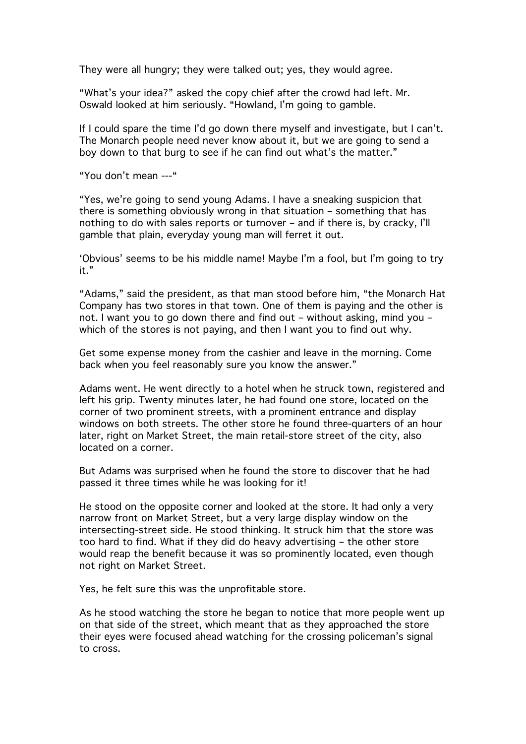They were all hungry; they were talked out; yes, they would agree.

"What's your idea?" asked the copy chief after the crowd had left. Mr. Oswald looked at him seriously. "Howland, I'm going to gamble.

If I could spare the time I'd go down there myself and investigate, but I can't. The Monarch people need never know about it, but we are going to send a boy down to that burg to see if he can find out what's the matter."

"You don't mean ---"

"Yes, we're going to send young Adams. I have a sneaking suspicion that there is something obviously wrong in that situation – something that has nothing to do with sales reports or turnover – and if there is, by cracky, I'll gamble that plain, everyday young man will ferret it out.

'Obvious' seems to be his middle name! Maybe I'm a fool, but I'm going to try it."

"Adams," said the president, as that man stood before him, "the Monarch Hat Company has two stores in that town. One of them is paying and the other is not. I want you to go down there and find out – without asking, mind you – which of the stores is not paying, and then I want you to find out why.

Get some expense money from the cashier and leave in the morning. Come back when you feel reasonably sure you know the answer."

Adams went. He went directly to a hotel when he struck town, registered and left his grip. Twenty minutes later, he had found one store, located on the corner of two prominent streets, with a prominent entrance and display windows on both streets. The other store he found three-quarters of an hour later, right on Market Street, the main retail-store street of the city, also located on a corner.

But Adams was surprised when he found the store to discover that he had passed it three times while he was looking for it!

He stood on the opposite corner and looked at the store. It had only a very narrow front on Market Street, but a very large display window on the intersecting-street side. He stood thinking. It struck him that the store was too hard to find. What if they did do heavy advertising – the other store would reap the benefit because it was so prominently located, even though not right on Market Street.

Yes, he felt sure this was the unprofitable store.

As he stood watching the store he began to notice that more people went up on that side of the street, which meant that as they approached the store their eyes were focused ahead watching for the crossing policeman's signal to cross.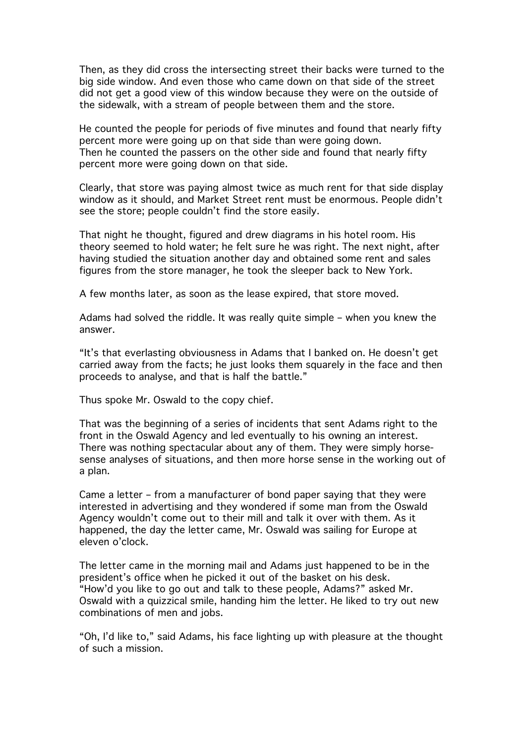Then, as they did cross the intersecting street their backs were turned to the big side window. And even those who came down on that side of the street did not get a good view of this window because they were on the outside of the sidewalk, with a stream of people between them and the store.

He counted the people for periods of five minutes and found that nearly fifty percent more were going up on that side than were going down. Then he counted the passers on the other side and found that nearly fifty percent more were going down on that side.

Clearly, that store was paying almost twice as much rent for that side display window as it should, and Market Street rent must be enormous. People didn't see the store; people couldn't find the store easily.

That night he thought, figured and drew diagrams in his hotel room. His theory seemed to hold water; he felt sure he was right. The next night, after having studied the situation another day and obtained some rent and sales figures from the store manager, he took the sleeper back to New York.

A few months later, as soon as the lease expired, that store moved.

Adams had solved the riddle. It was really quite simple – when you knew the answer.

"It's that everlasting obviousness in Adams that I banked on. He doesn't get carried away from the facts; he just looks them squarely in the face and then proceeds to analyse, and that is half the battle."

Thus spoke Mr. Oswald to the copy chief.

That was the beginning of a series of incidents that sent Adams right to the front in the Oswald Agency and led eventually to his owning an interest. There was nothing spectacular about any of them. They were simply horsesense analyses of situations, and then more horse sense in the working out of a plan.

Came a letter – from a manufacturer of bond paper saying that they were interested in advertising and they wondered if some man from the Oswald Agency wouldn't come out to their mill and talk it over with them. As it happened, the day the letter came, Mr. Oswald was sailing for Europe at eleven o'clock.

The letter came in the morning mail and Adams just happened to be in the president's office when he picked it out of the basket on his desk. "How'd you like to go out and talk to these people, Adams?" asked Mr. Oswald with a quizzical smile, handing him the letter. He liked to try out new combinations of men and jobs.

"Oh, I'd like to," said Adams, his face lighting up with pleasure at the thought of such a mission.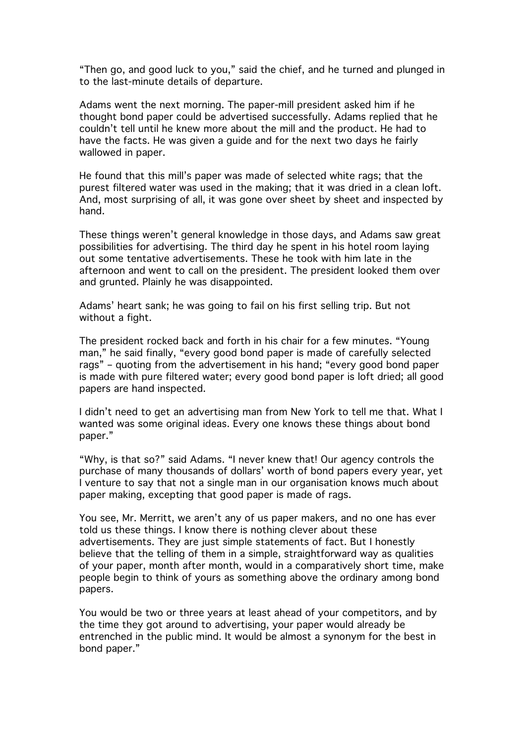"Then go, and good luck to you," said the chief, and he turned and plunged in to the last-minute details of departure.

Adams went the next morning. The paper-mill president asked him if he thought bond paper could be advertised successfully. Adams replied that he couldn't tell until he knew more about the mill and the product. He had to have the facts. He was given a guide and for the next two days he fairly wallowed in paper.

He found that this mill's paper was made of selected white rags; that the purest filtered water was used in the making; that it was dried in a clean loft. And, most surprising of all, it was gone over sheet by sheet and inspected by hand.

These things weren't general knowledge in those days, and Adams saw great possibilities for advertising. The third day he spent in his hotel room laying out some tentative advertisements. These he took with him late in the afternoon and went to call on the president. The president looked them over and grunted. Plainly he was disappointed.

Adams' heart sank; he was going to fail on his first selling trip. But not without a fight.

The president rocked back and forth in his chair for a few minutes. "Young man," he said finally, "every good bond paper is made of carefully selected rags" – quoting from the advertisement in his hand; "every good bond paper is made with pure filtered water; every good bond paper is loft dried; all good papers are hand inspected.

I didn't need to get an advertising man from New York to tell me that. What I wanted was some original ideas. Every one knows these things about bond paper."

"Why, is that so?" said Adams. "I never knew that! Our agency controls the purchase of many thousands of dollars' worth of bond papers every year, yet I venture to say that not a single man in our organisation knows much about paper making, excepting that good paper is made of rags.

You see, Mr. Merritt, we aren't any of us paper makers, and no one has ever told us these things. I know there is nothing clever about these advertisements. They are just simple statements of fact. But I honestly believe that the telling of them in a simple, straightforward way as qualities of your paper, month after month, would in a comparatively short time, make people begin to think of yours as something above the ordinary among bond papers.

You would be two or three years at least ahead of your competitors, and by the time they got around to advertising, your paper would already be entrenched in the public mind. It would be almost a synonym for the best in bond paper."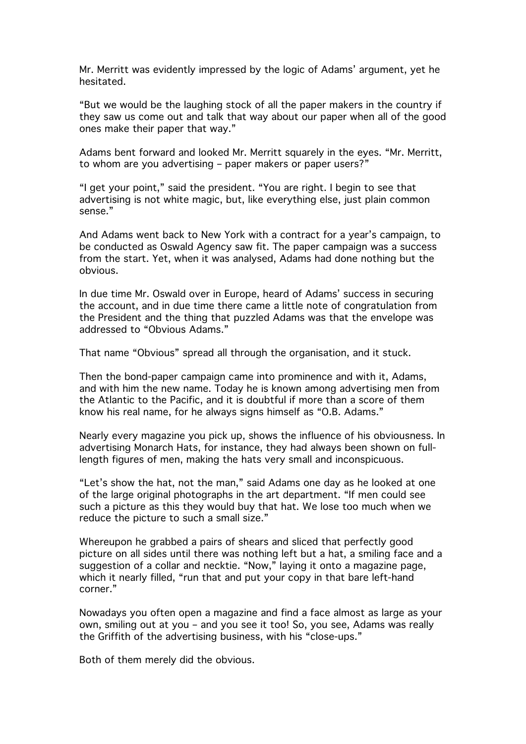Mr. Merritt was evidently impressed by the logic of Adams' argument, yet he hesitated.

"But we would be the laughing stock of all the paper makers in the country if they saw us come out and talk that way about our paper when all of the good ones make their paper that way."

Adams bent forward and looked Mr. Merritt squarely in the eyes. "Mr. Merritt, to whom are you advertising – paper makers or paper users?"

"I get your point," said the president. "You are right. I begin to see that advertising is not white magic, but, like everything else, just plain common sense."

And Adams went back to New York with a contract for a year's campaign, to be conducted as Oswald Agency saw fit. The paper campaign was a success from the start. Yet, when it was analysed, Adams had done nothing but the obvious.

In due time Mr. Oswald over in Europe, heard of Adams' success in securing the account, and in due time there came a little note of congratulation from the President and the thing that puzzled Adams was that the envelope was addressed to "Obvious Adams."

That name "Obvious" spread all through the organisation, and it stuck.

Then the bond-paper campaign came into prominence and with it, Adams, and with him the new name. Today he is known among advertising men from the Atlantic to the Pacific, and it is doubtful if more than a score of them know his real name, for he always signs himself as "O.B. Adams."

Nearly every magazine you pick up, shows the influence of his obviousness. In advertising Monarch Hats, for instance, they had always been shown on fulllength figures of men, making the hats very small and inconspicuous.

"Let's show the hat, not the man," said Adams one day as he looked at one of the large original photographs in the art department. "If men could see such a picture as this they would buy that hat. We lose too much when we reduce the picture to such a small size."

Whereupon he grabbed a pairs of shears and sliced that perfectly good picture on all sides until there was nothing left but a hat, a smiling face and a suggestion of a collar and necktie. "Now," laying it onto a magazine page, which it nearly filled, "run that and put your copy in that bare left-hand corner."

Nowadays you often open a magazine and find a face almost as large as your own, smiling out at you – and you see it too! So, you see, Adams was really the Griffith of the advertising business, with his "close-ups."

Both of them merely did the obvious.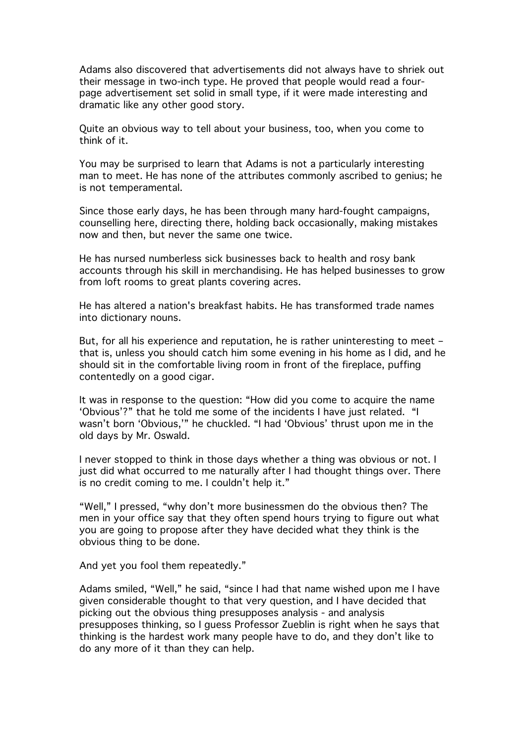Adams also discovered that advertisements did not always have to shriek out their message in two-inch type. He proved that people would read a fourpage advertisement set solid in small type, if it were made interesting and dramatic like any other good story.

Quite an obvious way to tell about your business, too, when you come to think of it.

You may be surprised to learn that Adams is not a particularly interesting man to meet. He has none of the attributes commonly ascribed to genius; he is not temperamental.

Since those early days, he has been through many hard-fought campaigns, counselling here, directing there, holding back occasionally, making mistakes now and then, but never the same one twice.

He has nursed numberless sick businesses back to health and rosy bank accounts through his skill in merchandising. He has helped businesses to grow from loft rooms to great plants covering acres.

He has altered a nation's breakfast habits. He has transformed trade names into dictionary nouns.

But, for all his experience and reputation, he is rather uninteresting to meet – that is, unless you should catch him some evening in his home as I did, and he should sit in the comfortable living room in front of the fireplace, puffing contentedly on a good cigar.

It was in response to the question: "How did you come to acquire the name 'Obvious'?" that he told me some of the incidents I have just related. "I wasn't born 'Obvious,'" he chuckled. "I had 'Obvious' thrust upon me in the old days by Mr. Oswald.

I never stopped to think in those days whether a thing was obvious or not. I just did what occurred to me naturally after I had thought things over. There is no credit coming to me. I couldn't help it."

"Well," I pressed, "why don't more businessmen do the obvious then? The men in your office say that they often spend hours trying to figure out what you are going to propose after they have decided what they think is the obvious thing to be done.

And yet you fool them repeatedly."

Adams smiled, "Well," he said, "since I had that name wished upon me I have given considerable thought to that very question, and I have decided that picking out the obvious thing presupposes analysis - and analysis presupposes thinking, so I guess Professor Zueblin is right when he says that thinking is the hardest work many people have to do, and they don't like to do any more of it than they can help.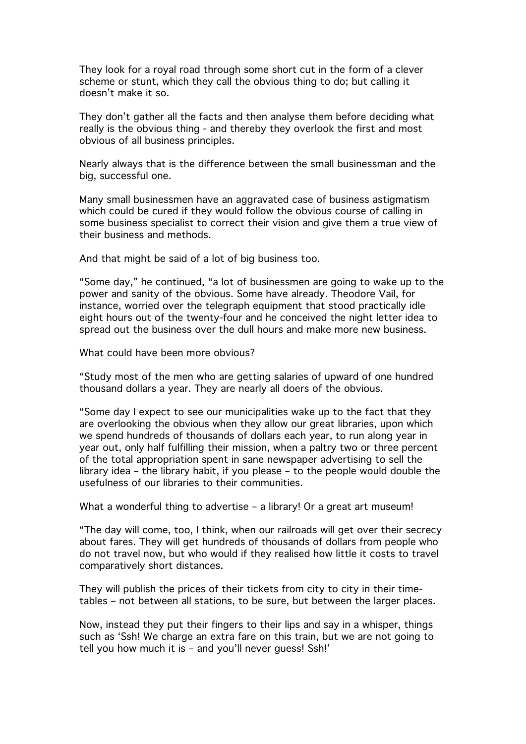They look for a royal road through some short cut in the form of a clever scheme or stunt, which they call the obvious thing to do; but calling it doesn't make it so.

They don't gather all the facts and then analyse them before deciding what really is the obvious thing - and thereby they overlook the first and most obvious of all business principles.

Nearly always that is the difference between the small businessman and the big, successful one.

Many small businessmen have an aggravated case of business astigmatism which could be cured if they would follow the obvious course of calling in some business specialist to correct their vision and give them a true view of their business and methods.

And that might be said of a lot of big business too.

"Some day," he continued, "a lot of businessmen are going to wake up to the power and sanity of the obvious. Some have already. Theodore Vail, for instance, worried over the telegraph equipment that stood practically idle eight hours out of the twenty-four and he conceived the night letter idea to spread out the business over the dull hours and make more new business.

What could have been more obvious?

"Study most of the men who are getting salaries of upward of one hundred thousand dollars a year. They are nearly all doers of the obvious.

"Some day I expect to see our municipalities wake up to the fact that they are overlooking the obvious when they allow our great libraries, upon which we spend hundreds of thousands of dollars each year, to run along year in year out, only half fulfilling their mission, when a paltry two or three percent of the total appropriation spent in sane newspaper advertising to sell the library idea – the library habit, if you please – to the people would double the usefulness of our libraries to their communities.

What a wonderful thing to advertise - a library! Or a great art museum!

"The day will come, too, I think, when our railroads will get over their secrecy about fares. They will get hundreds of thousands of dollars from people who do not travel now, but who would if they realised how little it costs to travel comparatively short distances.

They will publish the prices of their tickets from city to city in their timetables – not between all stations, to be sure, but between the larger places.

Now, instead they put their fingers to their lips and say in a whisper, things such as 'Ssh! We charge an extra fare on this train, but we are not going to tell you how much it is – and you'll never guess! Ssh!'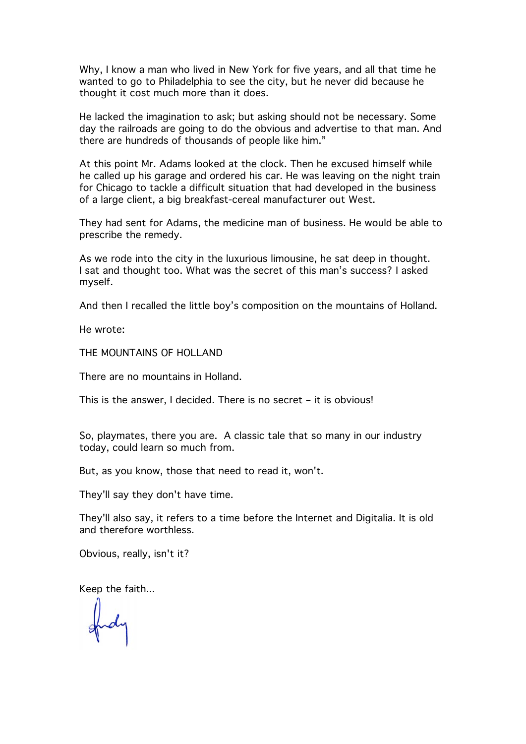Why, I know a man who lived in New York for five years, and all that time he wanted to go to Philadelphia to see the city, but he never did because he thought it cost much more than it does.

He lacked the imagination to ask; but asking should not be necessary. Some day the railroads are going to do the obvious and advertise to that man. And there are hundreds of thousands of people like him."

At this point Mr. Adams looked at the clock. Then he excused himself while he called up his garage and ordered his car. He was leaving on the night train for Chicago to tackle a difficult situation that had developed in the business of a large client, a big breakfast-cereal manufacturer out West.

They had sent for Adams, the medicine man of business. He would be able to prescribe the remedy.

As we rode into the city in the luxurious limousine, he sat deep in thought. I sat and thought too. What was the secret of this man's success? I asked myself.

And then I recalled the little boy's composition on the mountains of Holland.

He wrote:

THE MOUNTAINS OF HOLLAND

There are no mountains in Holland.

This is the answer, I decided. There is no secret – it is obvious!

So, playmates, there you are. A classic tale that so many in our industry today, could learn so much from.

But, as you know, those that need to read it, won't.

They'll say they don't have time.

They'll also say, it refers to a time before the Internet and Digitalia. It is old and therefore worthless.

Obvious, really, isn't it?

Keep the faith...